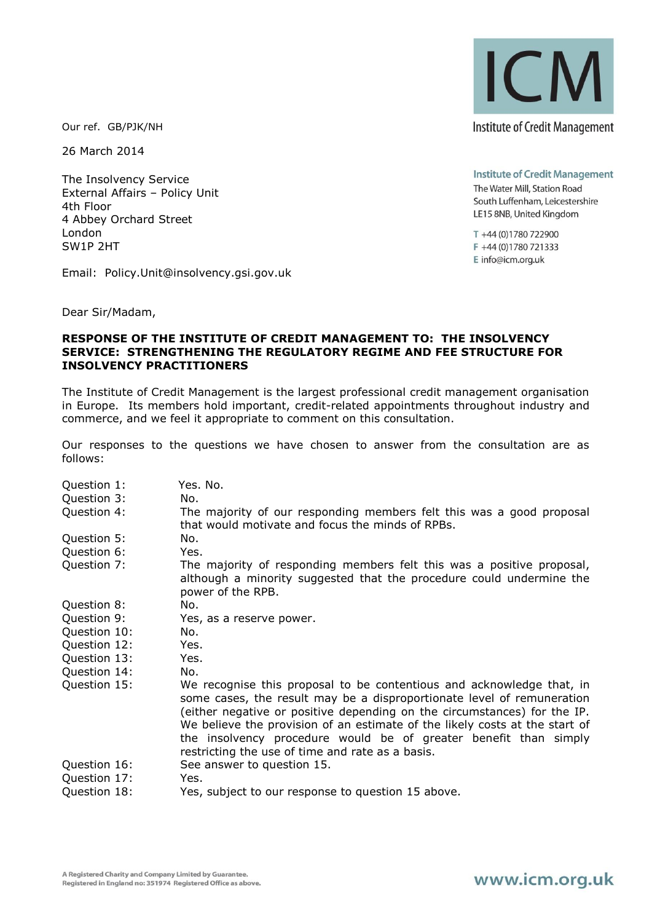Our ref. GB/PJK/NH

26 March 2014

The Insolvency Service External Affairs – Policy Unit 4th Floor 4 Abbey Orchard Street London SW1P 2HT

Email: Policy.Unit@insolvency.gsi.gov.uk

Dear Sir/Madam,

## **RESPONSE OF THE INSTITUTE OF CREDIT MANAGEMENT TO: THE INSOLVENCY SERVICE: STRENGTHENING THE REGULATORY REGIME AND FEE STRUCTURE FOR INSOLVENCY PRACTITIONERS**

The Institute of Credit Management is the largest professional credit management organisation in Europe. Its members hold important, credit-related appointments throughout industry and commerce, and we feel it appropriate to comment on this consultation.

Our responses to the questions we have chosen to answer from the consultation are as follows:

Question 1: Yes. No. Question 3: No. Question 4: The majority of our responding members felt this was a good proposal that would motivate and focus the minds of RPBs. Question 5: No. Question 6: Yes. Question 7: The majority of responding members felt this was a positive proposal, although a minority suggested that the procedure could undermine the power of the RPB. Question 8: No. Question 9: Yes, as a reserve power. Question 10: No. Question 12: Yes. Question 13: Yes. Question 14: No. Question 15: We recognise this proposal to be contentious and acknowledge that, in some cases, the result may be a disproportionate level of remuneration (either negative or positive depending on the circumstances) for the IP. We believe the provision of an estimate of the likely costs at the start of the insolvency procedure would be of greater benefit than simply restricting the use of time and rate as a basis. Question 16: See answer to question 15. Question 17: Yes. Question 18: Yes, subject to our response to question 15 above.

A Registered Charity and Company Limited by Guarantee. Registered in England no: 351974 Registered Office as above. **Institute of Credit Management** 

The Water Mill, Station Road South Luffenham, Leicestershire LE15 8NB, United Kingdom

T +44 (0)1780 722900 F +44 (0)1780 721333 E info@icm.org.uk